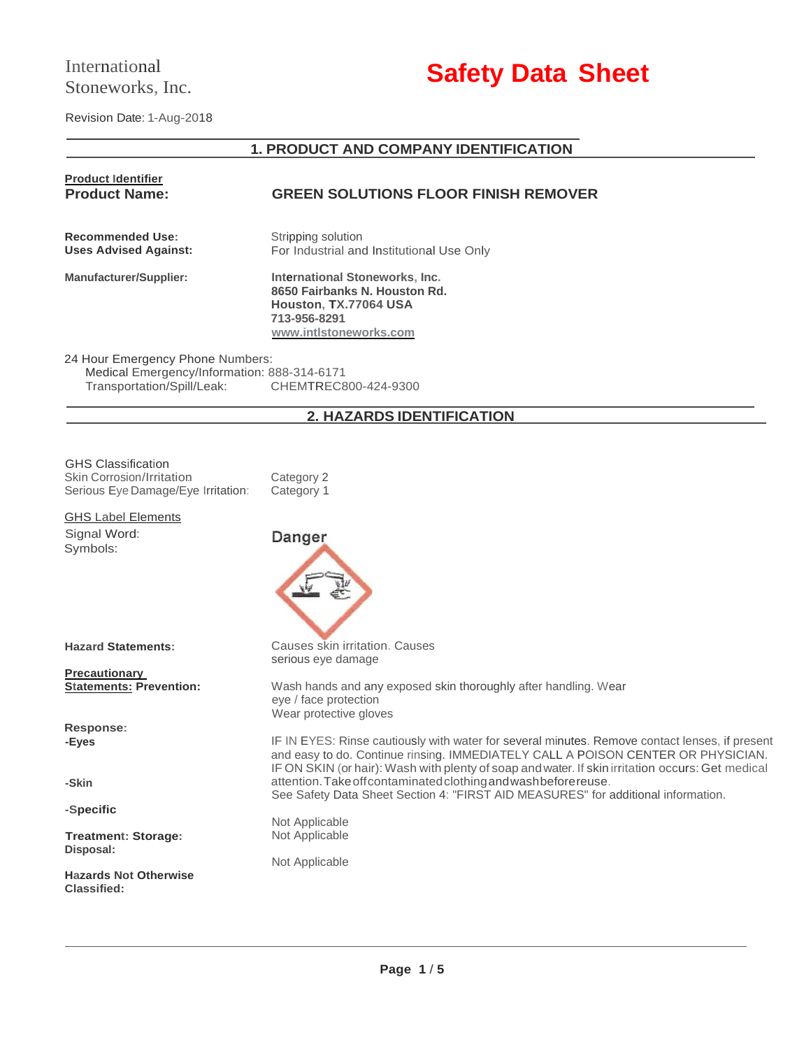# International Stoneworks, Inc.

# **Safety Data Sheet**

Revision Date: 1-Aug-2018

# **1. PRODUCT AND COMPANY IDENTIFICATION**

| <b>Product Identifier</b>                                                                                     |                                                                                                                                                                                                                                                                                        |  |  |
|---------------------------------------------------------------------------------------------------------------|----------------------------------------------------------------------------------------------------------------------------------------------------------------------------------------------------------------------------------------------------------------------------------------|--|--|
| <b>Product Name:</b>                                                                                          | <b>GREEN SOLUTIONS FLOOR FINISH REMOVER</b>                                                                                                                                                                                                                                            |  |  |
| <b>Recommended Use:</b><br><b>Uses Advised Against:</b>                                                       | Stripping solution<br>For Industrial and Institutional Use Only                                                                                                                                                                                                                        |  |  |
| <b>Manufacturer/Supplier:</b>                                                                                 | International Stoneworks, Inc.<br>8650 Fairbanks N. Houston Rd.<br>Houston, TX.77064 USA<br>713-956-8291<br>www.intlstoneworks.com                                                                                                                                                     |  |  |
| 24 Hour Emergency Phone Numbers:<br>Medical Emergency/Information: 888-314-6171<br>Transportation/Spill/Leak: | CHEMTREC800-424-9300                                                                                                                                                                                                                                                                   |  |  |
|                                                                                                               | 2. HAZARDS IDENTIFICATION                                                                                                                                                                                                                                                              |  |  |
|                                                                                                               |                                                                                                                                                                                                                                                                                        |  |  |
| <b>GHS Classification</b><br>Skin Corrosion/Irritation<br>Serious Eye Damage/Eye Irritation:                  | Category 2<br>Category 1                                                                                                                                                                                                                                                               |  |  |
| <b>GHS Label Elements</b>                                                                                     |                                                                                                                                                                                                                                                                                        |  |  |
| Signal Word:<br>Symbols:                                                                                      | Danger                                                                                                                                                                                                                                                                                 |  |  |
| <b>Hazard Statements:</b>                                                                                     | Causes skin irritation. Causes<br>serious eye damage                                                                                                                                                                                                                                   |  |  |
| <b>Precautionary</b><br><b>Statements: Prevention:</b>                                                        | Wash hands and any exposed skin thoroughly after handling. Wear<br>eye / face protection<br>Wear protective gloves                                                                                                                                                                     |  |  |
| <b>Response:</b>                                                                                              |                                                                                                                                                                                                                                                                                        |  |  |
| -Eyes                                                                                                         | IF IN EYES: Rinse cautiously with water for several minutes. Remove contact lenses, if present<br>and easy to do. Continue rinsing. IMMEDIATELY CALL A POISON CENTER OR PHYSICIAN.<br>IF ON SKIN (or hair): Wash with plenty of soap and water. If skin irritation occurs: Get medical |  |  |
| -Skin                                                                                                         | attention. Take off contaminated clothing and wash before reuse.<br>See Safety Data Sheet Section 4: "FIRST AID MEASURES" for additional information.                                                                                                                                  |  |  |
| -Specific                                                                                                     |                                                                                                                                                                                                                                                                                        |  |  |
| <b>Treatment: Storage:</b><br>Disposal:                                                                       | Not Applicable<br>Not Applicable                                                                                                                                                                                                                                                       |  |  |
| <b>Hazards Not Otherwise</b><br><b>Classified:</b>                                                            | Not Applicable                                                                                                                                                                                                                                                                         |  |  |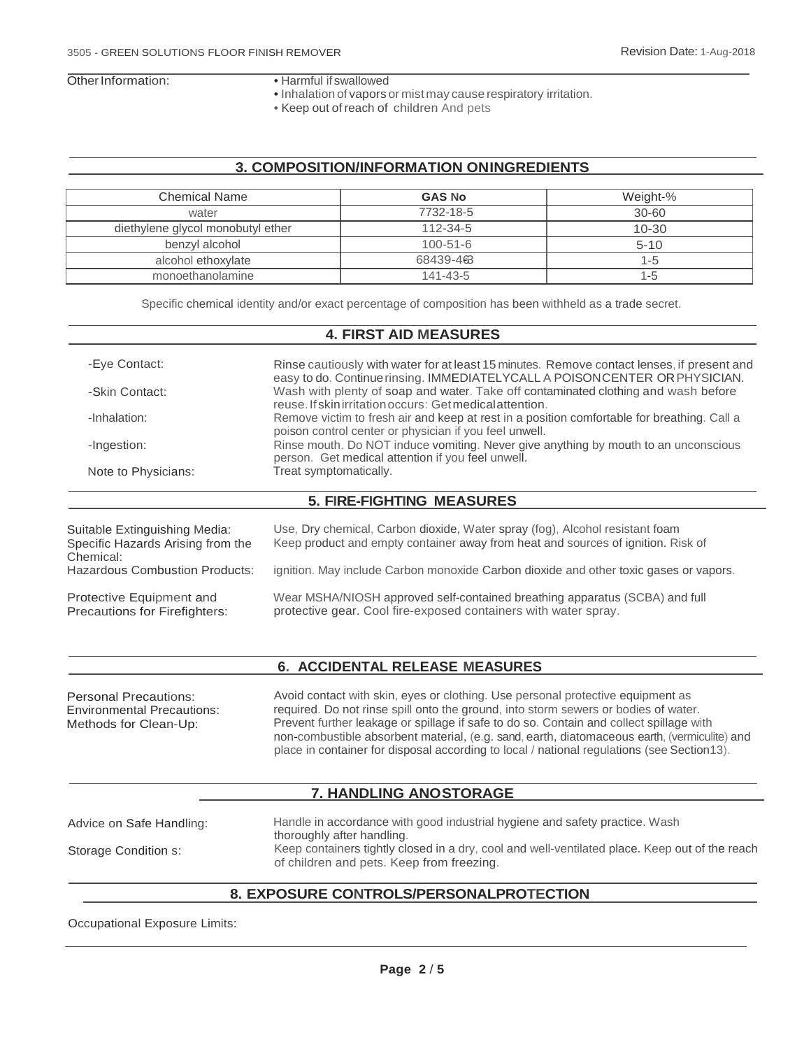- Other Information: Harmful if swallowed
	- Inhalation of vapors or mist may cause respiratory irritation.
	- Keep out of reach of children. And pets

### **3. COMPOSITION/INFORMATION ONINGREDIENTS**

| <b>Chemical Name</b>              |                                                                                                                                                       | <b>GAS No</b>                                            | Weight-%                                                                                                                                                          |
|-----------------------------------|-------------------------------------------------------------------------------------------------------------------------------------------------------|----------------------------------------------------------|-------------------------------------------------------------------------------------------------------------------------------------------------------------------|
| water                             |                                                                                                                                                       | 7732-18-5                                                | $30 - 60$                                                                                                                                                         |
| diethylene glycol monobutyl ether |                                                                                                                                                       | 112-34-5                                                 | $10 - 30$                                                                                                                                                         |
| benzyl alcohol                    |                                                                                                                                                       | $100 - 51 - 6$                                           | $5 - 10$                                                                                                                                                          |
| alcohol ethoxylate                |                                                                                                                                                       | 68439-463                                                | $1 - 5$                                                                                                                                                           |
| monoethanolamine                  |                                                                                                                                                       | 141-43-5                                                 | $1 - 5$                                                                                                                                                           |
| -Eye Contact:                     |                                                                                                                                                       |                                                          | Rinse cautiously with water for at least 15 minutes. Remove contact lenses, if present and                                                                        |
|                                   |                                                                                                                                                       | <b>4. FIRST AID MEASURES</b>                             |                                                                                                                                                                   |
| -Skin Contact:                    |                                                                                                                                                       | reuse. If skin irritation occurs: Get medical attention. | easy to do. Continue rinsing. IMMEDIATELYCALL A POISON CENTER OR PHYSICIAN.<br>Wash with plenty of soap and water. Take off contaminated clothing and wash before |
| -Inhalation:                      | Remove victim to fresh air and keep at rest in a position comfortable for breathing. Call a<br>poison control center or physician if you feel unwell. |                                                          |                                                                                                                                                                   |
| -Ingestion:                       | Rinse mouth. Do NOT induce vomiting. Never give anything by mouth to an unconscious<br>person. Get medical attention if you feel unwell.              |                                                          |                                                                                                                                                                   |
| Note to Physicians:               |                                                                                                                                                       | Treat symptomatically.                                   |                                                                                                                                                                   |
|                                   |                                                                                                                                                       | <b>5. FIRE-FIGHTING MEASURES</b>                         |                                                                                                                                                                   |

| Suitable Extinguishing Media:<br>Specific Hazards Arising from the<br>Chemical: | Use, Dry chemical, Carbon dioxide, Water spray (fog), Alcohol resistant foam<br>Keep product and empty container away from heat and sources of ignition. Risk of |
|---------------------------------------------------------------------------------|------------------------------------------------------------------------------------------------------------------------------------------------------------------|
| <b>Hazardous Combustion Products:</b>                                           | ignition. May include Carbon monoxide Carbon dioxide and other toxic gases or vapors.                                                                            |
| Protective Equipment and<br>Precautions for Firefighters:                       | Wear MSHA/NIOSH approved self-contained breathing apparatus (SCBA) and full<br>protective gear. Cool fire-exposed containers with water spray.                   |

# **6. ACCIDENTAL RELEASE MEASURES**

| <b>Personal Precautions:</b><br><b>Environmental Precautions:</b><br>Methods for Clean-Up: | Avoid contact with skin, eyes or clothing. Use personal protective equipment as<br>required. Do not rinse spill onto the ground, into storm sewers or bodies of water.<br>Prevent further leakage or spillage if safe to do so. Contain and collect spillage with<br>non-combustible absorbent material, (e.g. sand, earth, diatomaceous earth, (vermiculite) and<br>place in container for disposal according to local / national regulations (see Section 13). |
|--------------------------------------------------------------------------------------------|------------------------------------------------------------------------------------------------------------------------------------------------------------------------------------------------------------------------------------------------------------------------------------------------------------------------------------------------------------------------------------------------------------------------------------------------------------------|
|                                                                                            |                                                                                                                                                                                                                                                                                                                                                                                                                                                                  |

# **7. HANDLING ANOSTORAGE**

| Advice on Safe Handling: | Handle in accordance with good industrial hygiene and safety practice. Wash<br>thoroughly after handling.                                   |
|--------------------------|---------------------------------------------------------------------------------------------------------------------------------------------|
| Storage Condition s:     | Keep containers tightly closed in a dry, cool and well-ventilated place. Keep out of the reach<br>of children and pets. Keep from freezing. |

#### **8. EXPOSURE CONTROLS/PERSONALPROTECTION**

Occupational Exposure Limits: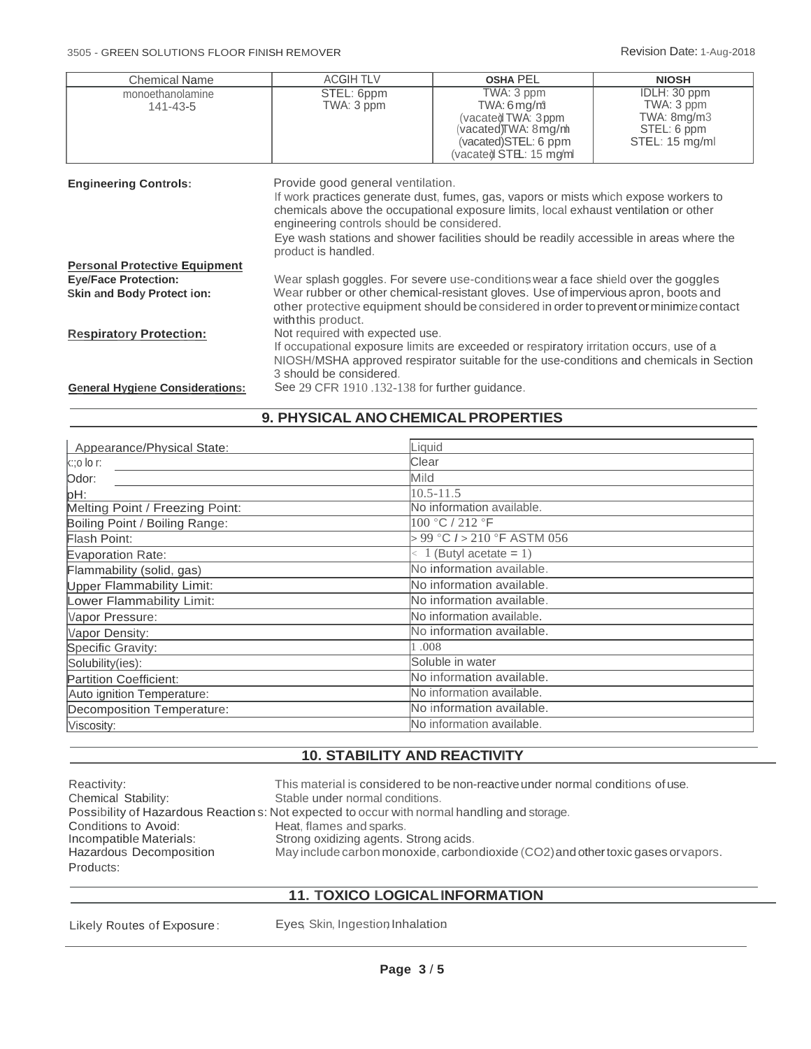| <b>Chemical Name</b>                                             | <b>ACGIH TLV</b>                                                                                                                                                                                                                                                                                                                                                                  | <b>OSHA PEL</b>                                                                                                           | <b>NIOSH</b>                                                                            |  |
|------------------------------------------------------------------|-----------------------------------------------------------------------------------------------------------------------------------------------------------------------------------------------------------------------------------------------------------------------------------------------------------------------------------------------------------------------------------|---------------------------------------------------------------------------------------------------------------------------|-----------------------------------------------------------------------------------------|--|
| monoethanolamine<br>$141 - 43 - 5$                               | STEL: 6ppm<br>TWA: 3 ppm                                                                                                                                                                                                                                                                                                                                                          | TWA: 3 ppm<br>TWA: 6 mg/m<br>(vacate) TWA: 3ppm<br>vacated)TWA: 8mg/m<br>(vacated)STEL: 6 ppm<br>(vacated STEL: 15 mg/ml) | IDLH: 30 ppm<br>TWA: 3 ppm<br>TWA: 8mg/m3<br>STEL: 6 ppm<br>STEL: 15 mg/ml              |  |
| <b>Engineering Controls:</b>                                     | Provide good general ventilation.<br>If work practices generate dust, fumes, gas, vapors or mists which expose workers to<br>chemicals above the occupational exposure limits, local exhaust ventilation or other<br>engineering controls should be considered.<br>Eye wash stations and shower facilities should be readily accessible in areas where the<br>product is handled. |                                                                                                                           |                                                                                         |  |
| <b>Personal Protective Equipment</b>                             |                                                                                                                                                                                                                                                                                                                                                                                   |                                                                                                                           |                                                                                         |  |
| <b>Eye/Face Protection:</b><br><b>Skin and Body Protect ion:</b> | Wear splash goggles. For severe use-conditions wear a face shield over the goggles<br>Wear rubber or other chemical-resistant gloves. Use of impervious apron, boots and<br>other protective equipment should be considered in order to prevent or minimize contact                                                                                                               |                                                                                                                           |                                                                                         |  |
| <b>Respiratory Protection:</b>                                   | with this product.<br>Not required with expected use.<br>3 should be considered.                                                                                                                                                                                                                                                                                                  | If occupational exposure limits are exceeded or respiratory irritation occurs, use of a                                   | NIOSH/MSHA approved respirator suitable for the use-conditions and chemicals in Section |  |
| <b>General Hygiene Considerations:</b>                           | See 29 CFR 1910.132-138 for further guidance.                                                                                                                                                                                                                                                                                                                                     |                                                                                                                           |                                                                                         |  |

# **9. PHYSICAL ANOCHEMICALPROPERTIES**

| Appearance/Physical State:      | Liquid                          |
|---------------------------------|---------------------------------|
| $k$ :;o lo r:                   | Clear                           |
| Odor:                           | Mild                            |
| pH:                             | $10.5 - 11.5$                   |
| Melting Point / Freezing Point: | No information available.       |
| Boiling Point / Boiling Range:  | 100 °C / 212 °F                 |
| Flash Point:                    | > 99 °C / > 210 °F ASTM 056     |
| Evaporation Rate:               | $\langle 1$ (Butyl acetate = 1) |
| Flammability (solid, gas)       | No information available.       |
| Upper Flammability Limit:       | No information available.       |
| Lower Flammability Limit:       | No information available.       |
| Vapor Pressure:                 | No information available.       |
| Vapor Density:                  | No information available.       |
| Specific Gravity:               | 1.008                           |
| Solubility(ies):                | Soluble in water                |
| Partition Coefficient:          | No information available.       |
| Auto ignition Temperature:      | No information available.       |
| Decomposition Temperature:      | No information available.       |
| Viscosity:                      | No information available.       |

# **10. STABILITY AND REACTIVITY**

| Reactivity:             | This material is considered to be non-reactive under normal conditions of use.               |
|-------------------------|----------------------------------------------------------------------------------------------|
| Chemical Stability:     | Stable under normal conditions.                                                              |
|                         | Possibility of Hazardous Reaction s: Not expected to occur with normal handling and storage. |
| Conditions to Avoid:    | Heat, flames and sparks.                                                                     |
| Incompatible Materials: | Strong oxidizing agents. Strong acids.                                                       |
| Hazardous Decomposition | May include carbon monoxide, carbondioxide (CO2) and other toxic gases or vapors.            |
| Products:               |                                                                                              |

# **11. TOXICO LOGICALINFORMATION**

Likely Routes of Exposure: Eyes, Skin, Ingestion, Inhalation.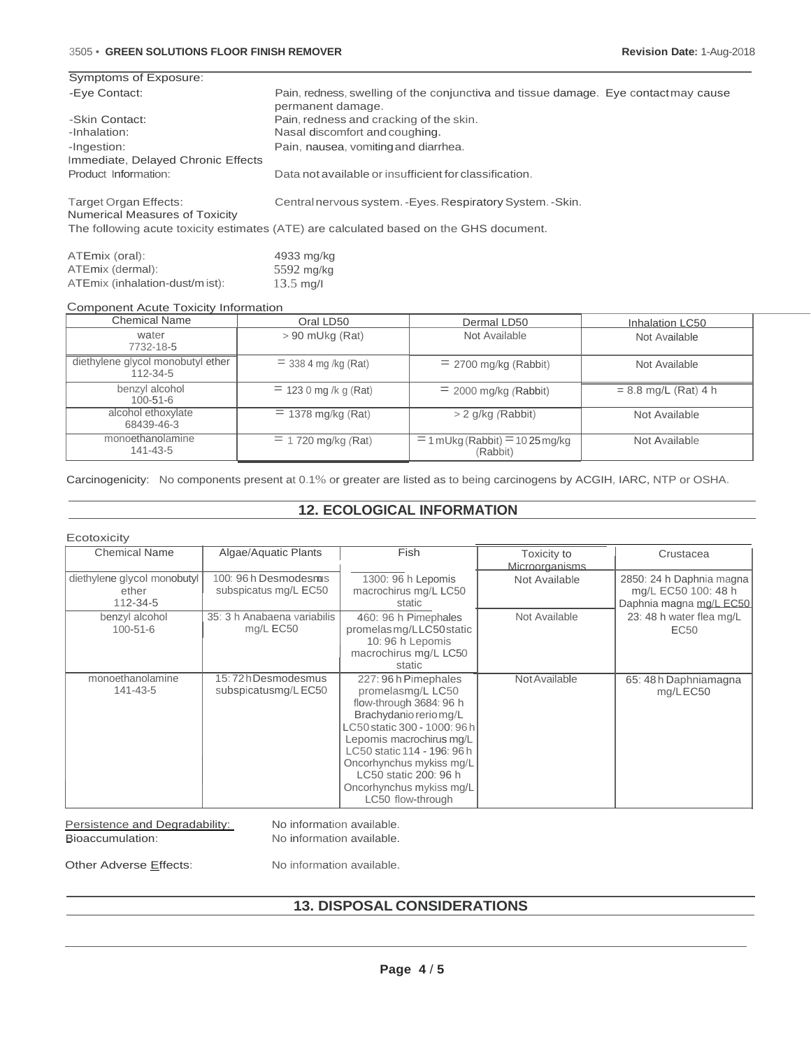#### 3505 • **GREEN SOLUTIONS FLOOR FINISH REMOVER Revision Date:** 1-Aug-2018

| Symptoms of Exposure:                                   |                                                                                                         |
|---------------------------------------------------------|---------------------------------------------------------------------------------------------------------|
| -Eye Contact:                                           | Pain, redness, swelling of the conjunctiva and tissue damage. Eye contactmay cause<br>permanent damage. |
| -Skin Contact:                                          | Pain, redness and cracking of the skin.                                                                 |
| -Inhalation:                                            | Nasal discomfort and coughing.                                                                          |
| -Ingestion:                                             | Pain, nausea, vomiting and diarrhea.                                                                    |
| Immediate, Delayed Chronic Effects                      |                                                                                                         |
| Product Information:                                    | Data not available or insufficient for classification.                                                  |
| Target Organ Effects:<br>Numerical Measures of Toxicity | Central nervous system. - Eyes. Respiratory System. - Skin.                                             |
|                                                         | The following acute toxicity estimates (ATE) are calculated based on the GHS document.                  |

| ATEmix (oral):                  | 4933 mg/kg          |
|---------------------------------|---------------------|
| ATEmix (dermal):                | $5592$ mg/kg        |
| ATEmix (inhalation-dust/m ist): | $13.5 \text{ ma/l}$ |

#### Component Acute Toxicity Information

| <b>Chemical Name</b>                          | Oral LD50              | Dermal LD50                                     | Inhalation LC50        |
|-----------------------------------------------|------------------------|-------------------------------------------------|------------------------|
| water<br>7732-18-5                            | $> 90$ mUkg (Rat)      | Not Available                                   | Not Available          |
| diethylene glycol monobutyl ether<br>112-34-5 | $=$ 338 4 mg /kg (Rat) | $=$ 2700 mg/kg (Rabbit)                         | Not Available          |
| benzyl alcohol<br>$100 - 51 - 6$              | $= 1230$ mg /k g (Rat) | $= 2000$ mg/kg (Rabbit)                         | $= 8.8$ mg/L (Rat) 4 h |
| alcohol ethoxylate<br>68439-46-3              | $= 1378$ mg/kg (Rat)   | $> 2$ g/kg (Rabbit)                             | Not Available          |
| monoethanolamine<br>141-43-5                  | $=$ 1.720 mg/kg (Rat)  | $=$ 1 mUkg (Rabbit) $=$ 10 25 mg/kg<br>(Rabbit) | Not Available          |

Carcinogenicity: No components present at 0.1% or greater are listed as to being carcinogens by ACGIH, IARC, NTP or OSHA.

## **12. ECOLOGICAL INFORMATION**

| Ecotoxicity                                      |                                                |                                                                                                                                                                                                                                                                                                |                               |                                                                             |
|--------------------------------------------------|------------------------------------------------|------------------------------------------------------------------------------------------------------------------------------------------------------------------------------------------------------------------------------------------------------------------------------------------------|-------------------------------|-----------------------------------------------------------------------------|
| <b>Chemical Name</b>                             | Algae/Aquatic Plants                           | Fish                                                                                                                                                                                                                                                                                           | Toxicity to<br>Microorganisms | Crustacea                                                                   |
| diethylene glycol monobutyl<br>ether<br>112-34-5 | 100: 96 h Desmodesmus<br>subspicatus mg/L EC50 | 1300: 96 h Lepomis<br>macrochirus mg/L LC50<br>static                                                                                                                                                                                                                                          | Not Available                 | 2850: 24 h Daphnia magna<br>mg/L EC50 100: 48 h<br>Daphnia magna mg/L EC50. |
| benzyl alcohol<br>$100 - 51 - 6$                 | 35: 3 h Anabaena variabilis<br>mg/L EC50       | 460: 96 h Pimephales<br>promelas mg/LLC50 static<br>10: 96 h Lepomis<br>macrochirus mg/L LC50<br>static                                                                                                                                                                                        | Not Available                 | 23: 48 h water flea mg/L<br>EC <sub>50</sub>                                |
| monoethanolamine<br>141-43-5                     | 15:72hDesmodesmus<br>subspicatusmg/LEC50       | 227:96 h Pimephales<br>promelasmg/L LC50<br>flow-through 3684: 96 h<br>Brachydanio rerio mg/L<br>LC50 static 300 - 1000: 96 h<br>Lepomis macrochirus mg/L<br>LC50 static 114 - 196: 96 h<br>Oncorhynchus mykiss mg/L<br>LC50 static 200: 96 h<br>Oncorhynchus mykiss mg/L<br>LC50 flow-through | Not Available                 | 65: 48h Daphniamagna<br>mg/LEC50                                            |

Persistence and Degradability: Bioaccumulation:

No information available. No information available.

Other Adverse Effects:

No information available.

# **13. DISPOSAL CONSIDERATIONS**